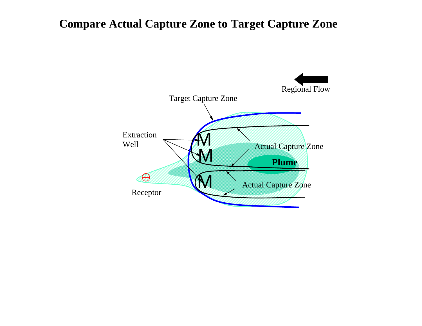### **Compare Actual Capture Zone to Target Capture Zone**

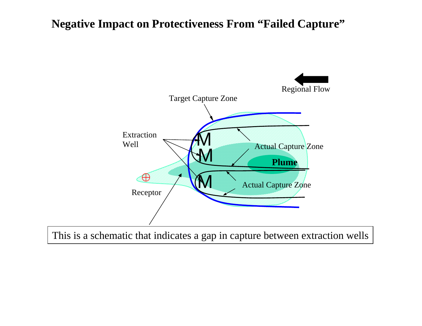#### **Negative Impact on Protectiveness From "Failed Capture"**



This is a schematic that indicates a gap in capture between extraction wells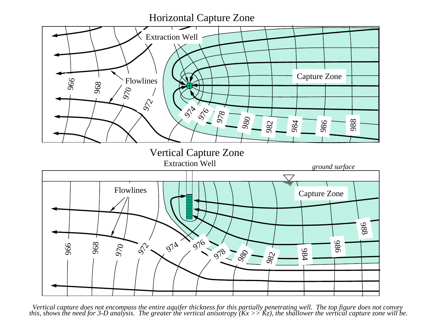#### Horizontal Capture Zone



Vertical Capture Zone



Vertical capture does not encompass the entire aquifer thickness for this partially penetrating well. The top figure does not convey<br>this, shows the need for 3-D analysis. The greater the vertical anisotropy ( $Kx \gg Kz$ ), t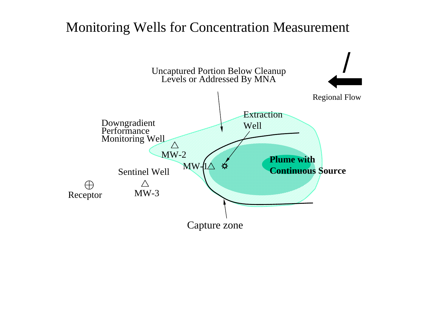## Monitoring Wells for Concentration Measurement

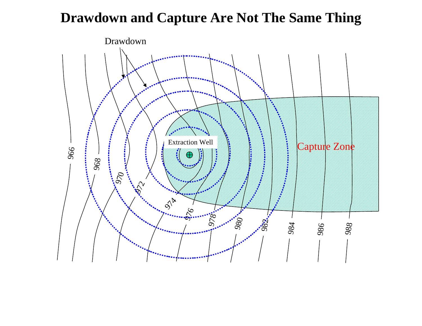# **Drawdown and Capture Are Not The Same Thing**

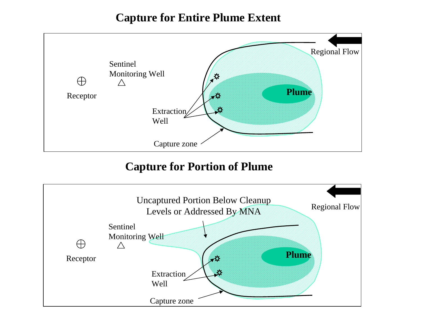#### **Capture for Entire Plume Extent**



#### **Capture for Portion of Plume**

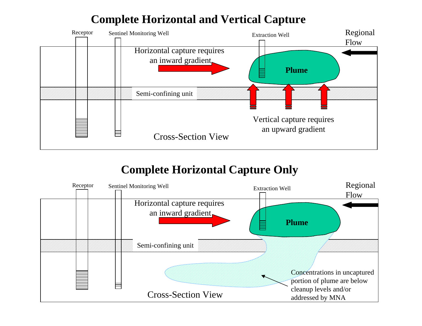#### **Complete Horizontal and Vertical Capture**



### **Complete Horizontal Capture Only**

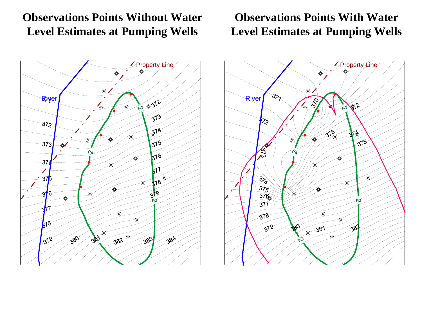### **Observations Points Without Water Level Estimates at Pumping Wells**



#### **Observations Points With Water Level Estimates at Pumping Wells**

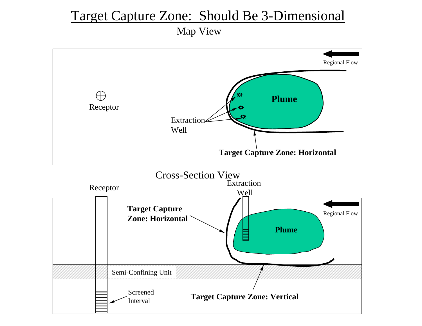### Target Capture Zone: Should Be 3-Dimensional

Map View

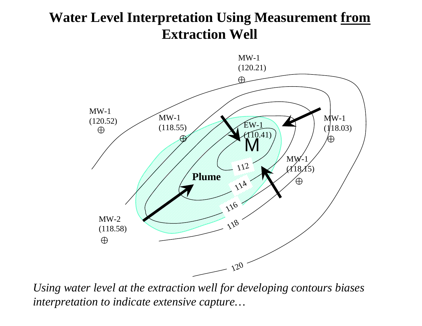# **Water Level Interpretation Using Measurement from Extraction Well**



*Using water level at the extraction well for developing contours biases interpretation to indicate extensive capture…*